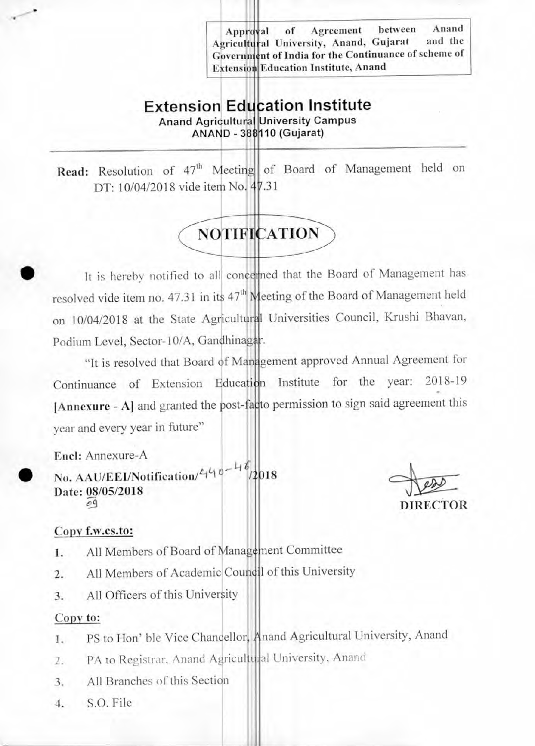**Approval** ricultural University, Anand, Gujarat and the vernment of India for the Continuance of scheme of tension Education Institute, Anand of Agreement between Anand<br>niversity Anand Guiarat and the

## **Extension Education Institute Anand Agricultural University Campus** ANAND 388110 (Gujarat)

Read: Resolution of 47<sup>th</sup> Meeting of Board of Management held on DT: 10/04/2018 vide item No. 47.31

# **NOTIFICATION**

• It is hereby notified to all concerned that the Board of Management has resolved vide item no. 47.31 in its 47<sup>th</sup> Meeting of the Board of Management held on 10/04/2018 at the State Agricultural Universities Council, Krushi Bhavan, Podium Level, Sector-10/A, Gandhinagar.

"It is resolved that Board of Management approved Annual Agreement for Continuance of Extension Education Institute for the year: 2018-19 [Annexure - A] and granted the post-facto permission to sign said agreement this year and every year in future"

Encl: Annexure-A

No. AAU/EEI/Notification/440-4 Date:  $\frac{08}{69}$ (05/2018) /2018

DIRECTOR

## Copy f.w.cs.to:

- 1. All Members of Board of Management Committee
- 2. All Members of Academic Council of this University
- 3. All Officers of this University

## Copy to:

- 1. PS to Hon' ble Vice Chancellor, Anand Agricultural University, Anand
- 2. PA to Registrar, Anand Agricultural University, Anand
- 3. All Branches of this Section
- 4. S.O. File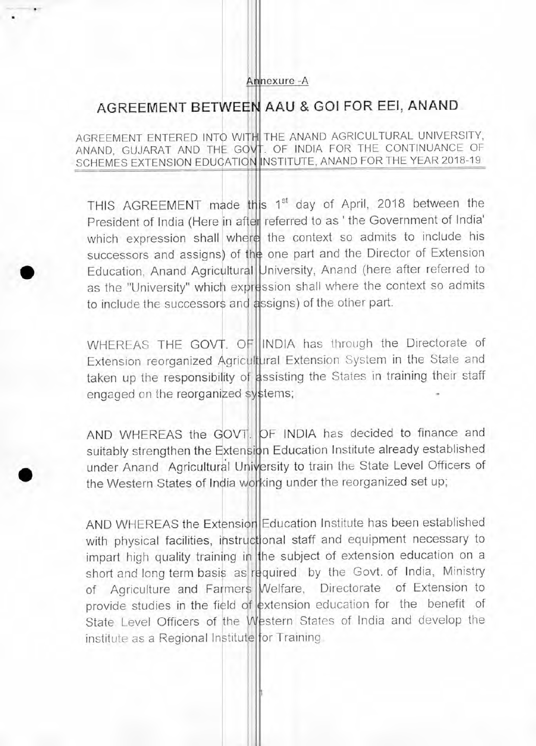#### Annexure -A

# AGREEMENT BETWEEN AAU & GO1 FOR EE1, ANAND

AGREEMENT ENTERED INTO WITH THE ANAND AGRICULTURAL UNIVERSITY, ANAND, GUJARAT AND THE GOVT. OF INDIA FOR THE CONTINUANCE OF SCHEMES EXTENSION EDUCATION INSTITUTE, ANAND FOR THE YEAR 2018-19

THIS AGREEMENT made this 1<sup>st</sup> day of April, 2018 between the President of India (Here in after referred to as ' the Government of India' which expression shall where the context so admits to include his successors and assigns) of the one part and the Director of Extension Education, Anand Agricultural University, Anand (here after referred to as the "University" which expression shall where the context so admits to include the successors and assigns) of the other part.

WHEREAS THE GOVT. OF INDIA has through the Directorate of Extension reorganized Agricultural Extension System in the State and taken up the responsibility of assisting the States in training their staff engaged on the reorganized systems;

AND WHEREAS the GOVT. OF INDIA has decided to finance and suitably strengthen the Extension Education Institute already established under Anand Agricultural University to train the State Level Officers of the Western States of India working under the reorganized set up;

AND WHEREAS the Extension Education Institute has been established with physical facilities, instructional staff and equipment necessary to impart high quality training in the subject of extension education on a short and long term basis as required by the Govt. of India, Ministry of Agriculture and Farmers Welfare, Directorate of Extension to provide studies in the field of extension education for the benefit of State Level Officers of the Western States of India and develop the institute as a Regional Institute for Training.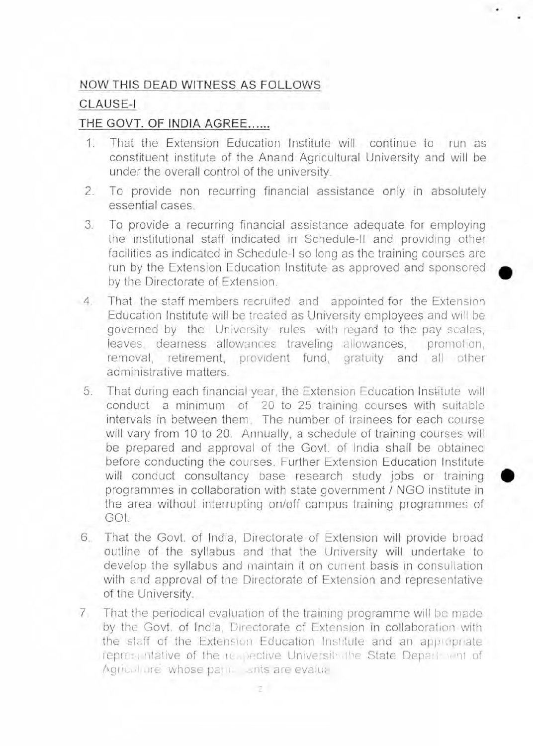## NOW THIS DEAD WITNESS AS FOLLOWS

## **CLAUSE-I**

## THE GOVT. OF INDIA AGREE......

- 1. That the Extension Education Institute will continue to run as constituent institute of the Anand Agricultural University and will be under the overall control of the university.
- 2. To provide non recurring financial assistance only in absolutely essential cases.
- 3. To provide a recurring financial assistance adequate for employing the institutional staff indicated in Schedule-II and providing other facilities as indicated in Schedule-I so long as the training courses are run by the Extension Education Institute as approved and sponsored by the Directorate of Extension.

•

- 4. That the staff members recruited and appointed for the Extension Education Institute will be treated as University employees and will be governed by the University rules with regard to the pay scales, leaves, dearness allowances traveling allowances, promotion, removal, retirement, provident fund, gratuity and all other administrative matters.
- 5. That during each financial year, the Extension Education Institute will conduct a minimum of 20 to 25 training courses with suitable intervals in between them. The number of trainees for each course will vary from 10 to 20. Annually, a schedule of training courses will be prepared and approval of the Govt. of India shall be obtained before conducting the courses. Further Extension Education Institute will conduct consultancy base research study jobs or training programmes in collaboration with state government / NGO institute in the area without interrupting on/off campus training programmes of GOI.
- 6. That the Govt. of India, Directorate of Extension will provide broad outline of the syllabus and that the University will undertake to develop the syllabus and maintain it on current basis in consultation with and approval of the Directorate of Extension and representative of the University.
- 7. That the periodical evaluation of the training programme will be made by the Govt. of India, Directorate of Extension in collaboration with the staff of the Extension Education Institute and an appropriate representative of the respective University, the State Department of Agrical are whose participants are evaluation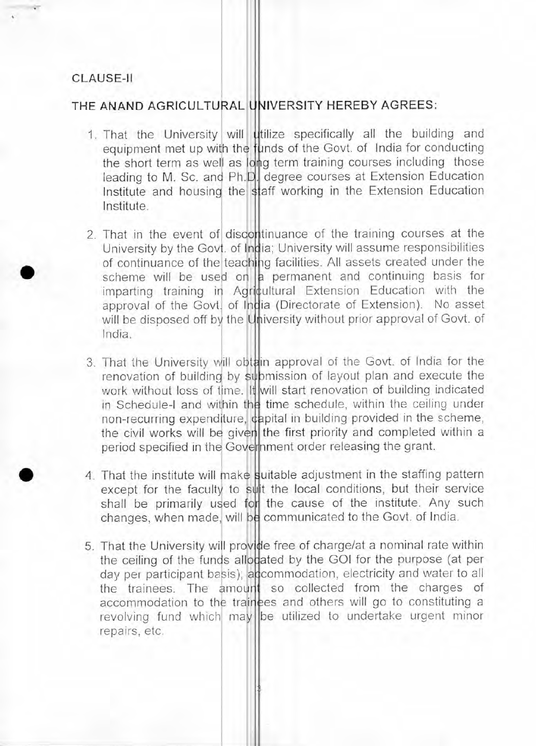#### CLAUSE-II

•

## THE ANAND AGRICULTURAL UNIVERSITY HEREBY AGREES:

- 1. That the University will utilize specifically all the building and equipment met up with the funds of the Govt. of India for conducting the short term as well as long term training courses including those leading to M. Sc. and Ph.D. degree courses at Extension Education Institute and housing the staff working in the Extension Education Institute.
- 2. That in the event of discontinuance of the training courses at the University by the Govt. of India; University will assume responsibilities of continuance of the teaching facilities. All assets created under the scheme will be used on  $a$  permanent and continuing basis for imparting training in Agricultural Extension Education with the approval of the Govt. of India (Directorate of Extension). No asset will be disposed off by the University without prior approval of Govt. of India.
- 3. That the University will obtain approval of the Govt. of India for the renovation of building by submission of layout plan and execute the work without loss of time. It will start renovation of building indicated in Schedule-I and within the time schedule, within the ceiling under non-recurring expenditure, capital in building provided in the scheme, the civil works will be given the first priority and completed within a period specified in the Government order releasing the grant.
- 4. That the institute will make suitable adjustment in the staffing pattern except for the faculty to suit the local conditions, but their service shall be primarily used for the cause of the institute. Any such changes, when made, will be communicated to the Govt. of India.
- 5. That the University will provide free of charge/at a nominal rate within the ceiling of the funds allocated by the GOI for the purpose (at per day per participant basis); accommodation, electricity and water to all the trainees. The amount so collected from the charges of accommodation to the trainees and others will go to constituting a revolving fund which may be utilized to undertake urgent minor repairs, etc.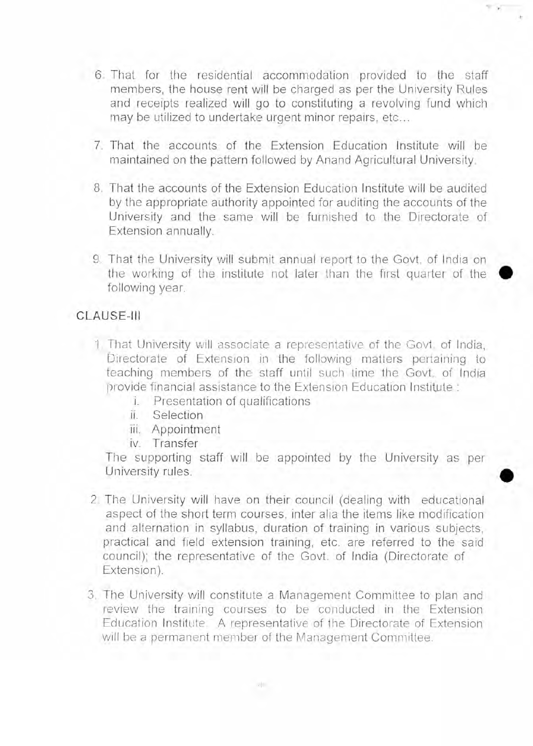- 6. That for the residential accommodation provided to the staff members, the house rent will be charged as per the University Rules and receipts realized will go to constituting a revolving fund which may be utilized to undertake urgent minor repairs, etc...
- 7. That the accounts of the Extension Education Institute will be maintained on the pattern followed by Anand Agricultural University.
- 8. That the accounts of the Extension Education Institute will be audited by the appropriate authority appointed for auditing the accounts of the University and the same will be furnished to the Directorate of Extension annually.
- 9. That the University will submit annual report to the Govt. of India on the working of the institute not later than the first quarter of the following year.

•

•

## CLAUSE-III

- 1 That University will associate a representative of the Govt. of India, Directorate of Extension in the following matters pertaining to teaching members of the staff until such time the Govt. of India provide financial assistance to the Extension Education Institute :
	- i. Presentation of qualifications
	- ii. Selection
		- iii. Appointment
	- iv. Transfer

The supporting staff will be appointed by the University as per University rules.

- 2. The University will have on their council (dealing with educational aspect of the short term courses, inter alia the items like modification and alternation in syllabus, duration of training in various subjects, practical and field extension training, etc. are referred to the said council); the representative of the Govt. of India (Directorate of Extension).
- 3. The University will constitute a Management Committee to plan and review the training courses to be conducted in the Extension Education Institute. A representative of the Directorate of Extension will be a permanent member of the Management Committee.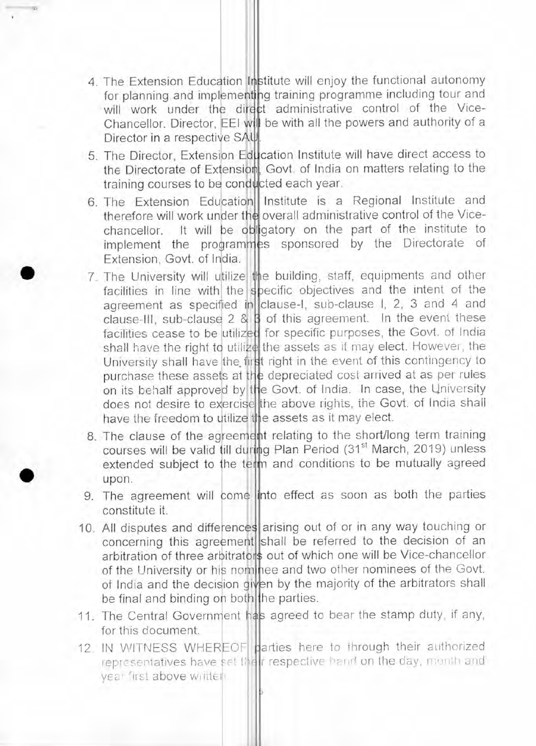- 4 The Extension Education Institute will enjoy the functional autonomy for planning and implementing training programme including tour and will work under the direct administrative control of the Vice-Chancellor. Director, EEI will be with all the powers and authority of a Director in a respective SAU.
- 5. The Director, Extension Education Institute will have direct access to the Directorate of Extension, Govt. of India on matters relating to the training courses to be conducted each year.
- 6. The Extension Education Institute is a Regional Institute and therefore will work under the overall administrative control of the Vicechancellor. It will be obligatory on the part of the institute to implement the programmes sponsored by the Directorate of Extension, Govt. of India.
- 7. The University will utilize the building, staff, equipments and other facilities in line with the specific objectives and the intent of the agreement as specified in clause-I, sub-clause I, 2, 3 and 4 and clause-III, sub-clause  $2 \& 3$  of this agreement. In the event these facilities cease to be utilized for specific purposes, the Govt. of India shall have the right to utilize the assets as it may elect. However, the University shall have the first right in the event of this contingency to purchase these assets at the depreciated cost arrived at as per rules on its behalf approved by the Govt. of India. In case, the University does not desire to exercise the above rights, the Govt. of India shall have the freedom to utilize the assets as it may elect.
- 8. The clause of the agreement relating to the short/long term training courses will be valid till during Plan Period (31<sup>st</sup> March, 2019) unless extended subject to the term and conditions to be mutually agreed upon.
- 9. The agreement will come into effect as soon as both the parties constitute it.
- 10. All disputes and differences arising out of or in any way touching or concerning this agreement shall be referred to the decision of an arbitration of three arbitrators out of which one will be Vice-chancellor of the University or his nominee and two other nominees of the Govt. of India and the decision given by the majority of the arbitrators shall be final and binding on both the parties.
- 11. The Central Government has agreed to bear the stamp duty, if any, for this document.
- 12. IN WITNESS WHEREOF parties here to through their authorized representatives have set their respective hand on the day, month and yea' first above writteil.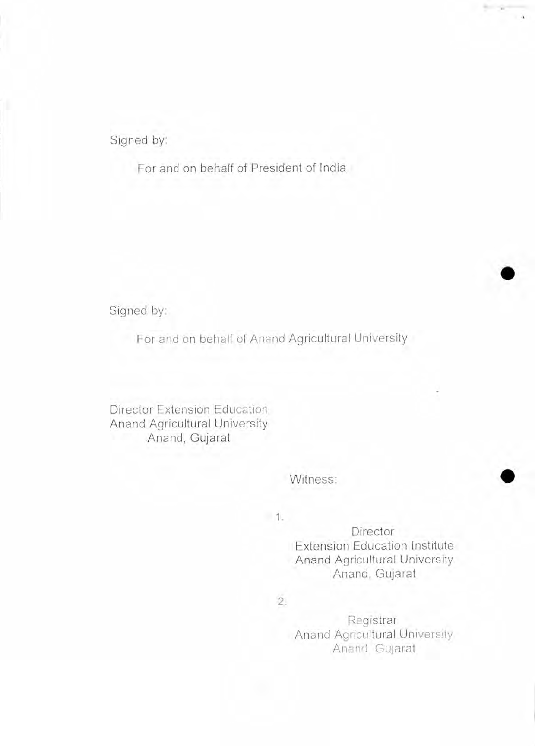Signed by:

For and on behalf of President of India

Signed by:

For and on behalf of Anand Agricultural University

Director Extension Education Anand Agricultural University Anand, Gujarat

## Witness:

 $1.$ 

Director Extension Education Institute Anand Agricultural University Anand, Gujarat

 $\frac{1}{2} \left( \frac{1}{2} \right) \left( \frac{1}{2} \right)$ 

2.

Registrar Anand Agricultural University Anand Gujarat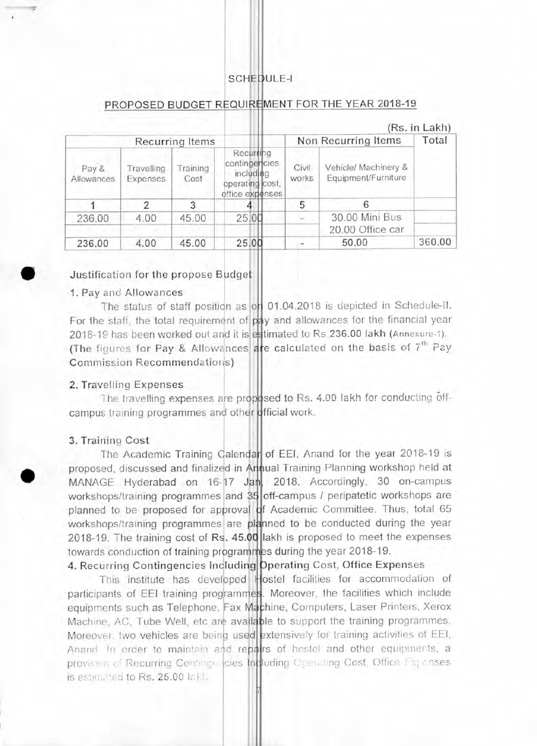### SCHEDULE-I

|                        |                               |                 |                                                                               |                |                                             | (RS. In Lakh) |  |
|------------------------|-------------------------------|-----------------|-------------------------------------------------------------------------------|----------------|---------------------------------------------|---------------|--|
| <b>Recurring Items</b> |                               |                 |                                                                               |                | Non Recurring Items                         |               |  |
| Pay &<br>Allowances    | Travelling<br><b>Expenses</b> | raining<br>Cost | Recurring<br>contingencies<br>including<br>operating cost,<br>office expenses | Civil<br>works | Vehicle/ Machinery &<br>Equipment/Furniture |               |  |
|                        | っ                             | 3               |                                                                               | 5              |                                             |               |  |
| 236.00                 | 4.00                          | 45.00           | 25.00                                                                         |                | 30.00 Mini Bus                              |               |  |
|                        |                               |                 |                                                                               |                | 20.00 Office car                            |               |  |
| 236.00                 | 4.00                          | 45.00           | 25.00                                                                         |                | 50.00                                       | 360.00        |  |

#### PROPOSED BUDGET REQUIREMENT FOR THE YEAR 2018-19

 $\ldots$ 

#### Justification for the propose Budget

#### 1. Pay and Allowances

The status of staff position as on 01.04.2018 is depicted in Schedule-II. For the staff, the total requirement of pay and allowances for the financial year 2018-19 has been worked out and it is estimated to Rs.236.00 lakh (Annexure-1). (The figures for Pay & Allowances are calculated on the basis of  $7<sup>th</sup>$  Pay Commission Recommendations)

#### 2. Travelling Expenses

The travelling expenses are proposed to Rs. 4.00 lakh for conducting offcampus training programmes and other official work.

#### 3. Training Cost

 $\bullet$ 

The Academic Training Calendar of EEI, Anand for the year 2018-19 is proposed, discussed and finalized in Annual Training Planning workshop held at MANAGE Hyderabad on 16-17 Jan, 2018. Accordingly, 30 on-campus workshops/training programmes and 35 off-campus / peripatetic workshops are planned to be proposed for approval of Academic Committee. Thus, total 65 workshops/training programmes are planned to be conducted during the year 2018-19. The training cost of Rs. 45.00 lakh is proposed to meet the expenses towards conduction of training programmes during the year 2018-19.

## 4. Recurring Contingencies Including Dperating Cost, Office Expenses

This institute has developed Hostel facilities for accommodation of participants of EEI training programmes. Moreover, the facilities which include equipments such as Telephone, Fax Machine, Computers, Laser Printers, Xerox Machine, AC, Tube Well, etc are available to support the training programmes. Moreover, two vehicles are being used extensively for training activities of EEI, Anand In order to maintain and repairs of hostel and other equipments, a provision of Recurring Continge, cies Indluding Operating Cost, Office Expenses is estimated to Rs. 25.00 lattle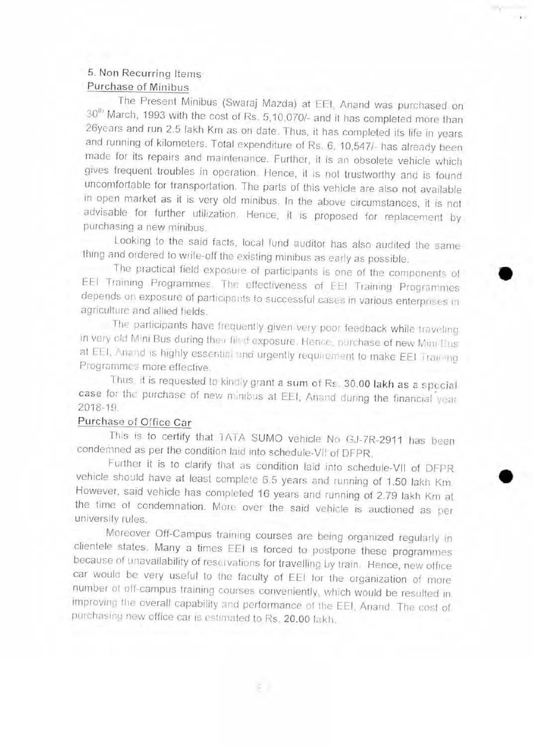## **5. Non Recurring Items Purchase of Minibus**

The Present Minibus (Swaraj Mazda) at EEI, Anand was purchased on  $30<sup>th</sup>$  March, 1993 with the cost of Rs. 5,10,070/- and it has completed more than 26years and run 2.5 lakh Km as on date. Thus, it has completed its life in years and running of kilometers. Total expenditure of Rs. 6, 10,547/- has already been made for its repairs and maintenance. Further, it is an obsolete vehicle which gives frequent troubles in operation. Hence, it is not trustworthy and is found uncomfortable for transportation. The parts of this vehicle are also not available in open market as it is very old minibus. In the above circumstances, it is not advisable for further utilization. Hence, it is proposed for replacement by purchasing a new minibus.

Looking to the said facts, local fund auditor has also audited the same thing and ordered to write-off the existing minibus as early as possible.

The practical field exposure of participants is one of the components of EEI Training Programmes. The effectiveness of EEI Training Programmes depends on exposure of participants to successful cases in various enterprises in agriculture and allied fields.

The participants have frequently given very poor feedback while traveling in very old Mini Bus during their filed exposure. Hence, purchase of new Mini Bus at EEI, Anand is highly essential and urgently requirement to make EEI Training Programmes more effective.

Thus, it is requested to kindly grant **a sum of** Rs. **30.00 Iakh as a** special **case** for the purchase of new minibus at EEI, Anand during the financial year 2018-19.

## **Purchase of Office Car**

This is to certify that TATA SUMO vehicle No GJ-7R-2911 has been condemned as per the condition laid into schedule-VII of DFPR.

Further it is to clarify that as condition laid into schedule-VI! of DFPR vehicle should have at least complete 6.5 years and running of 1.50 lakh Km. However, said vehicle has completed 16 years and running of 2.79 Iakh Km at the time of condemnation. More over the said vehicle is auctioned as per university rules.

Moreover Off-Campus training courses are being organized regularly in clientele states. Many a times EEI is forced to postpone these programmes because of unavailability of reservations for travelling by train. Hence, new office car would be very useful to the faculty of EEI for the organization of more number of off-campus training courses conveniently, which would be resulted in improving the overall capability and performance of the EEI, Anand. The cost of purchasing new office car is estimated to Rs. **20.00** Iakh.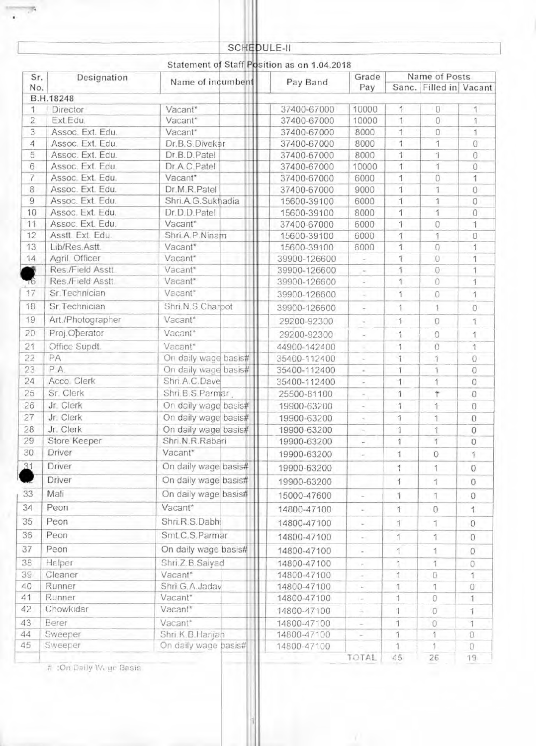# SCHEDULE-II

# Statement of Staff Position as on 1.04.2018

| Sr.<br>Designation<br>No. |                   | Name of incumbent    | Pay Band     |                          |               | Name of Posts<br>Sanc. Filled in Vacant |                |
|---------------------------|-------------------|----------------------|--------------|--------------------------|---------------|-----------------------------------------|----------------|
|                           | B.H.18248         |                      |              |                          |               |                                         |                |
| 1                         | Director          | Vacant*              | 37400-67000  | 10000                    | 1             | $\Omega$                                | 1              |
| $\overline{2}$            | Ext.Edu.          | Vacant*              | 37400-67000  | 10000                    | 1             | $\mathbf{0}$                            | 1              |
| 3                         | Assoc. Ext. Edu.  | Vacant*              | 37400-67000  | 8000                     | 1             | 0                                       | 1              |
| 4                         | Assoc. Ext. Edu.  | Dr.B.S.Divekar       | 37400-67000  | 8000                     | 1             | 1                                       | 0              |
| 5                         | Assoc. Ext. Edu.  | Dr.B.D.Patel         | 37400-67000  | 8000                     | 1             | $\mathbf{1}$                            | 0              |
| 6                         | Assoc. Ext. Edu.  | Dr.A.C.Patel         | 37400-67000  | 10000                    | 1             | 1                                       | $\Omega$       |
| $\overline{7}$            | Assoc. Ext. Edu.  | Vacant*              | 37400-67000  | 6000                     | 1             | 0                                       | 1              |
| 8                         | Assoc. Ext. Edu.  | Dr.M.R.Patel         | 37400-67000  | 9000                     | 1             | 1                                       | $\Omega$       |
| 9                         | Assoc. Ext. Edu.  | Shri.A.G.Sukhadia    | 15600-39100  | 6000                     | 1             | 1                                       | $\mathbf{0}$   |
| 10                        | Assoc. Ext. Edu.  | Dr.D.D.Patel         | 15600-39100  | 8000                     | 1             | 1                                       | $\Omega$       |
| 11                        | Assoc. Ext. Edu.  | Vacant*              | 37400-67000  | 6000                     | 1             | $\Omega$                                | 1              |
| 12                        | Asstt. Ext. Edu.  | Shri.A.P.Ninam       | 15600-39100  | 6000                     | 干             | 1                                       | $\Omega$       |
| 13                        | Lib/Res.Astt.     | Vacant*              | 15600-39100  | 6000                     | 1             | $\Omega$                                | 1              |
| 14                        | Agril. Officer    | Vacant*              | 39900-126600 |                          | 4             | $\Omega$                                | 1              |
|                           | Res./Field Asstt. | Vacant*              | 39900-126600 |                          | 1             | $\Omega$                                | 1              |
| Тб                        | Res./Field Asstt. | Vacant*              | 39900-126600 |                          | 1             | 0                                       | 1              |
| 17                        | Sr.Technician     | Vacant*              | 39900-126600 |                          | 1             | $\Omega$                                | 1              |
| 18                        | Sr.Technician     | Shri, N.S. Charpot   | 39900-126600 |                          | 1             | $\mathbf{1}$                            | $\Omega$       |
| 19                        | Art./Photographer | Vacant*              | 29200-92300  | ú.                       | 1             | $\Omega$                                | 1              |
| 20                        | Proj.Operator     | Vacant*              | 29200-92300  |                          | 1             | 0                                       | 1              |
| 21                        | Office Supdt.     | Vacant <sup>*</sup>  | 44900-142400 |                          | 1             | 0                                       | $\mathcal{L}$  |
| 22                        | PA                | On daily wage basis# | 35400-112400 | ú.                       | 1             | Ť                                       | $\overline{0}$ |
| 23                        | P.A.              | On daily wage basis# | 35400-112400 | é.                       | 1             | 1                                       | 0              |
| 24                        | Acco. Clerk       | Shri.A.C.Dave        | 35400-112400 |                          | 1             | 1                                       | $\Omega$       |
| 25                        | Sr. Clerk         | Shri.B.S.Parmar      | 25500-81100  |                          | 1             | $\dot{\tau}$                            | $\Omega$       |
| 26                        | Jr. Clerk         | On daily wage basis# | 19900-63200  | $\sim$                   | 1             | 1                                       | $\Omega$       |
| 27                        | Jr. Clerk         | On daily wage basis# | 19900-63200  | $\overline{\phantom{a}}$ | 1             | 1                                       | $\mathbf 0$    |
| 28                        | Jr. Clerk         | On daily wage basis# | 19900-63200  |                          | 1             | 1                                       | 0              |
| 29                        | Store Keeper      | Shri.N.R.Rabari      | 19900-63200  |                          | 1             | 1                                       | $\Omega$       |
| 30                        | Driver            | Vacant*              | 19900-63200  | $\sim$                   | 1             | $\mathcal{O}$                           | 1              |
| 31                        | Driver            | On daily wage basis# | 19900-63200  |                          | $\mathcal{I}$ | $\mathbf{1}$                            | 0              |
|                           | Driver            | On daily wage basis# |              |                          |               |                                         |                |
|                           |                   |                      | 19900-63200  |                          | 1             | 1                                       | $\mathbf{0}$   |
| 33                        | Mali              | On daily wage basis# | 15000-47600  |                          | 1             | 1                                       | $\Omega$       |
| 34                        | Peon              | Vacant*              | 14800-47100  | -                        | 1             | $\Omega$                                | 1              |
| 35                        | Peon              | Shri, R.S.Dabhi      | 14800-47100  |                          | 1             | 1                                       | $\Omega$       |
| 36                        | Peon              | Smt.C.S.Parmar       | 14800-47100  | $\sim$                   | 1             | 1                                       | $\Omega$       |
| 37                        | Peon              | On daily wage basis# | 14800-47100  |                          | 1             | 1                                       | 0              |
| 38                        | Helper            | Shri Z.B. Saiyad     | 14800-47100  | e.                       | 1             | 1                                       | 0              |
| 39                        | Cleaner           | Vacant*              | 14800-47100  |                          | 1             | 0                                       | 1              |
| 40                        | Runner            | Shri.G.A.Jadav       | 14800-47100  |                          | 1             | 1                                       | 0              |
| 41                        | Runner            | Vacant*              | 14800-47100  |                          | 1             | 0                                       | 1              |
| 42                        | Chowkidar         | Vacant*              | 14800-47100  | ÷.                       | 1             | $\circ$                                 | 1              |
| 43                        | Berer             | Vacant*              | 14800-47100  |                          | 1             | $\overline{O}$                          | 1              |
| 44                        | Sweeper           | Shri.K.B.Harijan     | 14800-47100  |                          | 1             | 1                                       | $\mathcal{O}$  |
| 45                        | Sweeper           | On daily wage basis# | 14800-47100  |                          |               | 1                                       | 0              |
|                           |                   |                      |              | TOTAL                    | 45            | 26                                      | 19             |

# :On Daily Vi,,,gc Basis